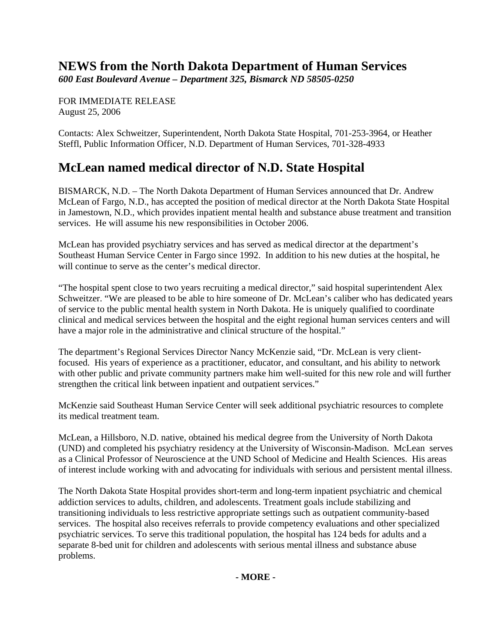## **NEWS from the North Dakota Department of Human Services**

*600 East Boulevard Avenue – Department 325, Bismarck ND 58505-0250* 

FOR IMMEDIATE RELEASE August 25, 2006

Contacts: Alex Schweitzer, Superintendent, North Dakota State Hospital, 701-253-3964, or Heather Steffl, Public Information Officer, N.D. Department of Human Services, 701-328-4933

## **McLean named medical director of N.D. State Hospital**

BISMARCK, N.D. – The North Dakota Department of Human Services announced that Dr. Andrew McLean of Fargo, N.D., has accepted the position of medical director at the North Dakota State Hospital in Jamestown, N.D., which provides inpatient mental health and substance abuse treatment and transition services. He will assume his new responsibilities in October 2006.

McLean has provided psychiatry services and has served as medical director at the department's Southeast Human Service Center in Fargo since 1992. In addition to his new duties at the hospital, he will continue to serve as the center's medical director.

"The hospital spent close to two years recruiting a medical director," said hospital superintendent Alex Schweitzer. "We are pleased to be able to hire someone of Dr. McLean's caliber who has dedicated years of service to the public mental health system in North Dakota. He is uniquely qualified to coordinate clinical and medical services between the hospital and the eight regional human services centers and will have a major role in the administrative and clinical structure of the hospital."

The department's Regional Services Director Nancy McKenzie said, "Dr. McLean is very clientfocused. His years of experience as a practitioner, educator, and consultant, and his ability to network with other public and private community partners make him well-suited for this new role and will further strengthen the critical link between inpatient and outpatient services."

McKenzie said Southeast Human Service Center will seek additional psychiatric resources to complete its medical treatment team.

McLean, a Hillsboro, N.D. native, obtained his medical degree from the University of North Dakota (UND) and completed his psychiatry residency at the University of Wisconsin-Madison. McLean serves as a Clinical Professor of Neuroscience at the UND School of Medicine and Health Sciences. His areas of interest include working with and advocating for individuals with serious and persistent mental illness.

The North Dakota State Hospital provides short-term and long-term inpatient psychiatric and chemical addiction services to adults, children, and adolescents. Treatment goals include stabilizing and transitioning individuals to less restrictive appropriate settings such as outpatient community-based services. The hospital also receives referrals to provide competency evaluations and other specialized psychiatric services. To serve this traditional population, the hospital has 124 beds for adults and a separate 8-bed unit for children and adolescents with serious mental illness and substance abuse problems.